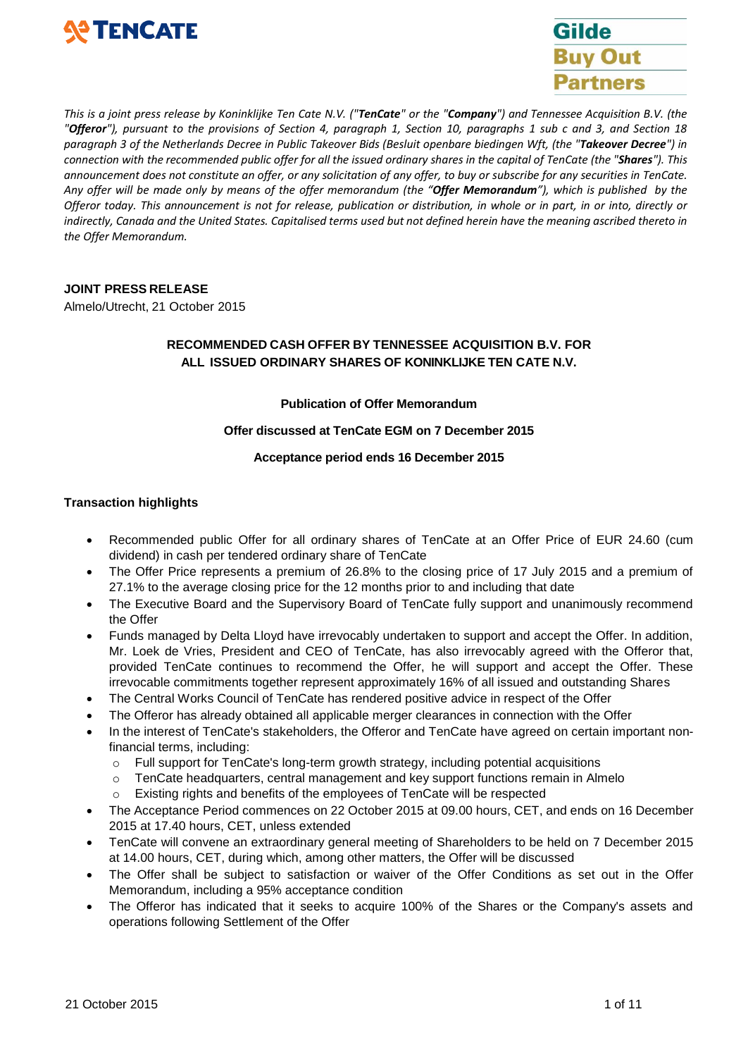



This is a joint press release by Koninklijke Ten Cate N.V. ("**TenCate**" or the "Company") and Tennessee Acquisition B.V. (the "Offeror"), pursuant to the provisions of Section 4, paragraph 1, Section 10, paragraphs 1 sub c and 3, and Section 18 paragraph 3 of the Netherlands Decree in Public Takeover Bids (Besluit openbare biedingen Wft, (the "Takeover Decree") in connection with the recommended public offer for all the issued ordinary shares in the capital of TenCate (the "Shares"). This announcement does not constitute an offer, or any solicitation of any offer, to buy or subscribe for any securities in TenCate. Any offer will be made only by means of the offer memorandum (the "Offer Memorandum"), which is published by the Offeror today. This announcement is not for release, publication or distribution, in whole or in part, in or into, directly or indirectly, Canada and the United States. Capitalised terms used but not defined herein have the meaning ascribed thereto in *the Offer Memorandum.*

## **JOINT PRESS RELEASE**

Almelo/Utrecht, 21 October 2015

# **RECOMMENDED CASH OFFER BY TENNESSEE ACQUISITION B.V. FOR ALL ISSUED ORDINARY SHARES OF KONINKLIJKE TEN CATE N.V.**

#### **Publication of Offer Memorandum**

## **Offer discussed at TenCate EGM on 7 December 2015**

#### **Acceptance period ends 16 December 2015**

## **Transaction highlights**

- Recommended public Offer for all ordinary shares of TenCate at an Offer Price of EUR 24.60 (cum dividend) in cash per tendered ordinary share of TenCate
- The Offer Price represents a premium of 26.8% to the closing price of 17 July 2015 and a premium of 27.1% to the average closing price for the 12 months prior to and including that date
- The Executive Board and the Supervisory Board of TenCate fully support and unanimously recommend the Offer
- Funds managed by Delta Lloyd have irrevocably undertaken to support and accept the Offer. In addition, Mr. Loek de Vries, President and CEO of TenCate, has also irrevocably agreed with the Offeror that, provided TenCate continues to recommend the Offer, he will support and accept the Offer. These irrevocable commitments together represent approximately 16% of all issued and outstanding Shares
- The Central Works Council of TenCate has rendered positive advice in respect of the Offer
- The Offeror has already obtained all applicable merger clearances in connection with the Offer
- In the interest of TenCate's stakeholders, the Offeror and TenCate have agreed on certain important nonfinancial terms, including:
	- o Full support for TenCate's long-term growth strategy, including potential acquisitions
	- $\circ$  TenCate headquarters, central management and key support functions remain in Almelo
	- o Existing rights and benefits of the employees of TenCate will be respected
- The Acceptance Period commences on 22 October 2015 at 09.00 hours, CET, and ends on 16 December 2015 at 17.40 hours, CET, unless extended
- TenCate will convene an extraordinary general meeting of Shareholders to be held on 7 December 2015 at 14.00 hours, CET, during which, among other matters, the Offer will be discussed
- The Offer shall be subject to satisfaction or waiver of the Offer Conditions as set out in the Offer Memorandum, including a 95% acceptance condition
- The Offeror has indicated that it seeks to acquire 100% of the Shares or the Company's assets and operations following Settlement of the Offer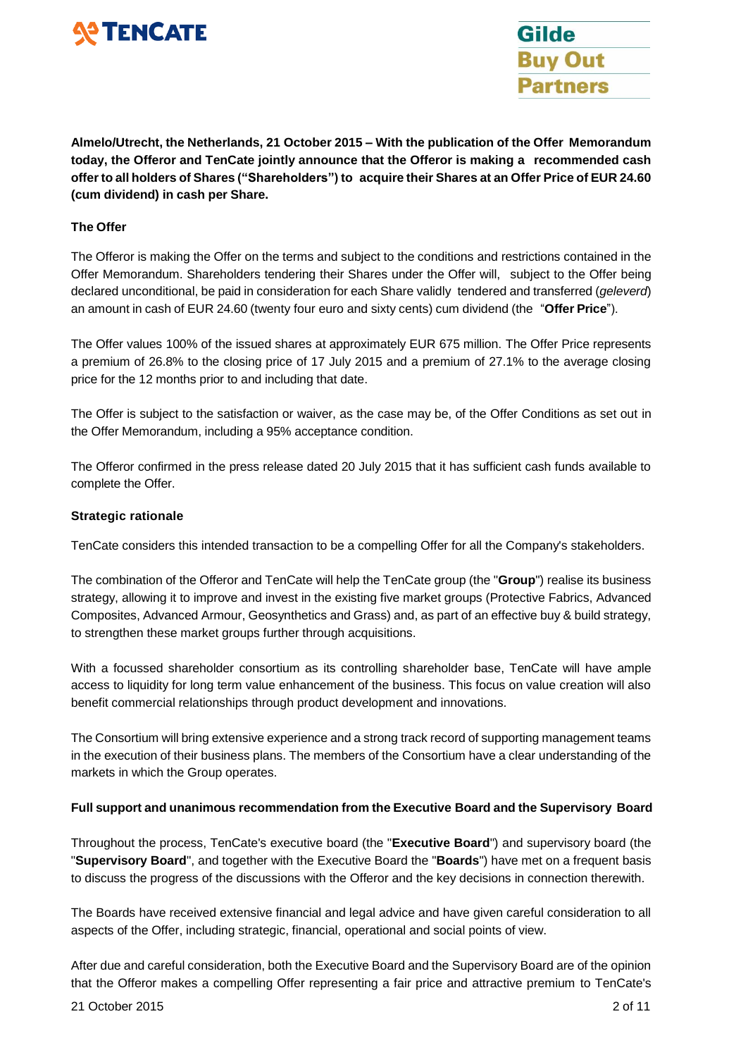



**Almelo/Utrecht, the Netherlands, 21 October 2015 – With the publication of the Offer Memorandum today, the Offeror and TenCate jointly announce that the Offeror is making a recommended cash offerto all holders of Shares ("Shareholders") to acquire their Shares at an Offer Price of EUR 24.60 (cum dividend) in cash per Share.**

## **The Offer**

The Offeror is making the Offer on the terms and subject to the conditions and restrictions contained in the Offer Memorandum. Shareholders tendering their Shares under the Offer will, subject to the Offer being declared unconditional, be paid in consideration for each Share validly tendered and transferred (*geleverd*) an amount in cash of EUR 24.60 (twenty four euro and sixty cents) cum dividend (the "**Offer Price**").

The Offer values 100% of the issued shares at approximately EUR 675 million. The Offer Price represents a premium of 26.8% to the closing price of 17 July 2015 and a premium of 27.1% to the average closing price for the 12 months prior to and including that date.

The Offer is subject to the satisfaction or waiver, as the case may be, of the Offer Conditions as set out in the Offer Memorandum, including a 95% acceptance condition.

The Offeror confirmed in the press release dated 20 July 2015 that it has sufficient cash funds available to complete the Offer.

## **Strategic rationale**

TenCate considers this intended transaction to be a compelling Offer for all the Company's stakeholders.

The combination of the Offeror and TenCate will help the TenCate group (the "**Group**") realise its business strategy, allowing it to improve and invest in the existing five market groups (Protective Fabrics, Advanced Composites, Advanced Armour, Geosynthetics and Grass) and, as part of an effective buy & build strategy, to strengthen these market groups further through acquisitions.

With a focussed shareholder consortium as its controlling shareholder base, TenCate will have ample access to liquidity for long term value enhancement of the business. This focus on value creation will also benefit commercial relationships through product development and innovations.

The Consortium will bring extensive experience and a strong track record of supporting management teams in the execution of their business plans. The members of the Consortium have a clear understanding of the markets in which the Group operates.

# **Full support and unanimous recommendation from the Executive Board and the Supervisory Board**

Throughout the process, TenCate's executive board (the "**Executive Board**") and supervisory board (the "**Supervisory Board**", and together with the Executive Board the "**Boards**") have met on a frequent basis to discuss the progress of the discussions with the Offeror and the key decisions in connection therewith.

The Boards have received extensive financial and legal advice and have given careful consideration to all aspects of the Offer, including strategic, financial, operational and social points of view.

After due and careful consideration, both the Executive Board and the Supervisory Board are of the opinion that the Offeror makes a compelling Offer representing a fair price and attractive premium to TenCate's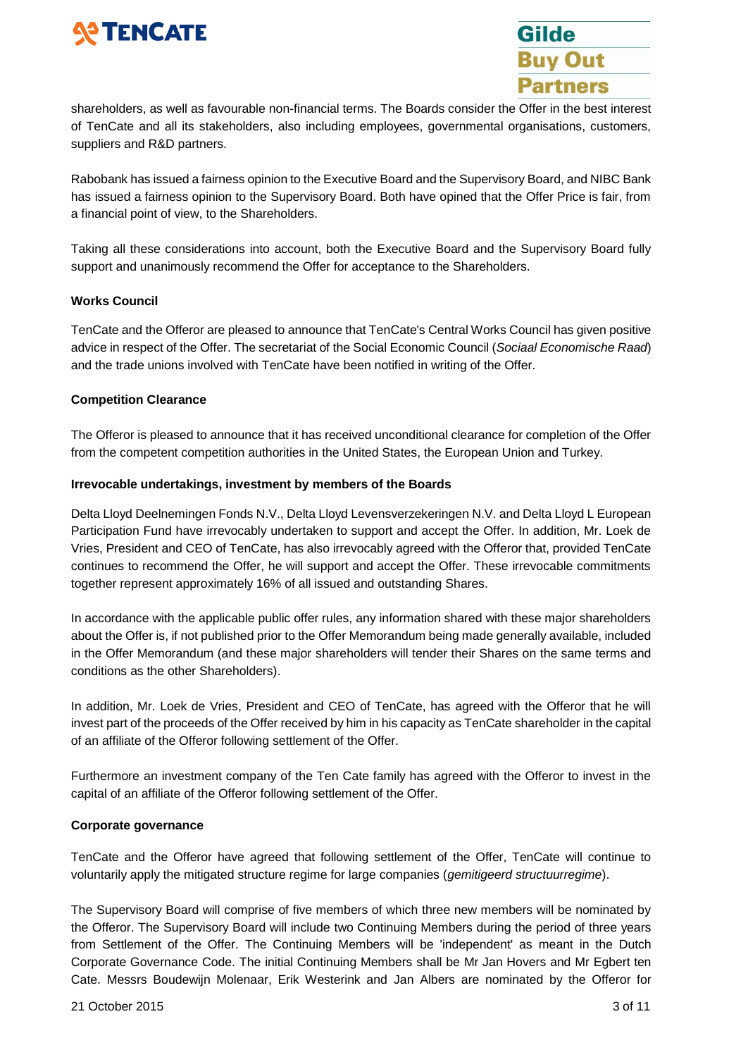



shareholders, as well as favourable non-financial terms. The Boards consider the Offer in the best interest of TenCate and all its stakeholders, also including employees, governmental organisations, customers, suppliers and R&D partners.

Rabobank has issued a fairness opinion to the Executive Board and the Supervisory Board, and NIBC Bank has issued a fairness opinion to the Supervisory Board. Both have opined that the Offer Price is fair, from a financial point of view, to the Shareholders.

Taking all these considerations into account, both the Executive Board and the Supervisory Board fully support and unanimously recommend the Offer for acceptance to the Shareholders.

## **Works Council**

TenCate and the Offeror are pleased to announce that TenCate's Central Works Council has given positive advice in respect of the Offer. The secretariat of the Social Economic Council (*Sociaal Economische Raad*) and the trade unions involved with TenCate have been notified in writing of the Offer.

## **Competition Clearance**

The Offeror is pleased to announce that it has received unconditional clearance for completion of the Offer from the competent competition authorities in the United States, the European Union and Turkey.

## **Irrevocable undertakings, investment by members of the Boards**

Delta Lloyd Deelnemingen Fonds N.V., Delta Lloyd Levensverzekeringen N.V. and Delta Lloyd L European Participation Fund have irrevocably undertaken to support and accept the Offer. In addition, Mr. Loek de Vries, President and CEO of TenCate, has also irrevocably agreed with the Offeror that, provided TenCate continues to recommend the Offer, he will support and accept the Offer. These irrevocable commitments together represent approximately 16% of all issued and outstanding Shares.

In accordance with the applicable public offer rules, any information shared with these major shareholders about the Offer is, if not published prior to the Offer Memorandum being made generally available, included in the Offer Memorandum (and these major shareholders will tender their Shares on the same terms and conditions as the other Shareholders).

In addition, Mr. Loek de Vries, President and CEO of TenCate, has agreed with the Offeror that he will invest part of the proceeds of the Offer received by him in his capacity as TenCate shareholder in the capital of an affiliate of the Offeror following settlement of the Offer.

Furthermore an investment company of the Ten Cate family has agreed with the Offeror to invest in the capital of an affiliate of the Offeror following settlement of the Offer.

#### **Corporate governance**

TenCate and the Offeror have agreed that following settlement of the Offer, TenCate will continue to voluntarily apply the mitigated structure regime for large companies (*gemitigeerd structuurregime*).

The Supervisory Board will comprise of five members of which three new members will be nominated by the Offeror. The Supervisory Board will include two Continuing Members during the period of three years from Settlement of the Offer. The Continuing Members will be 'independent' as meant in the Dutch Corporate Governance Code. The initial Continuing Members shall be Mr Jan Hovers and Mr Egbert ten Cate. Messrs Boudewijn Molenaar, Erik Westerink and Jan Albers are nominated by the Offeror for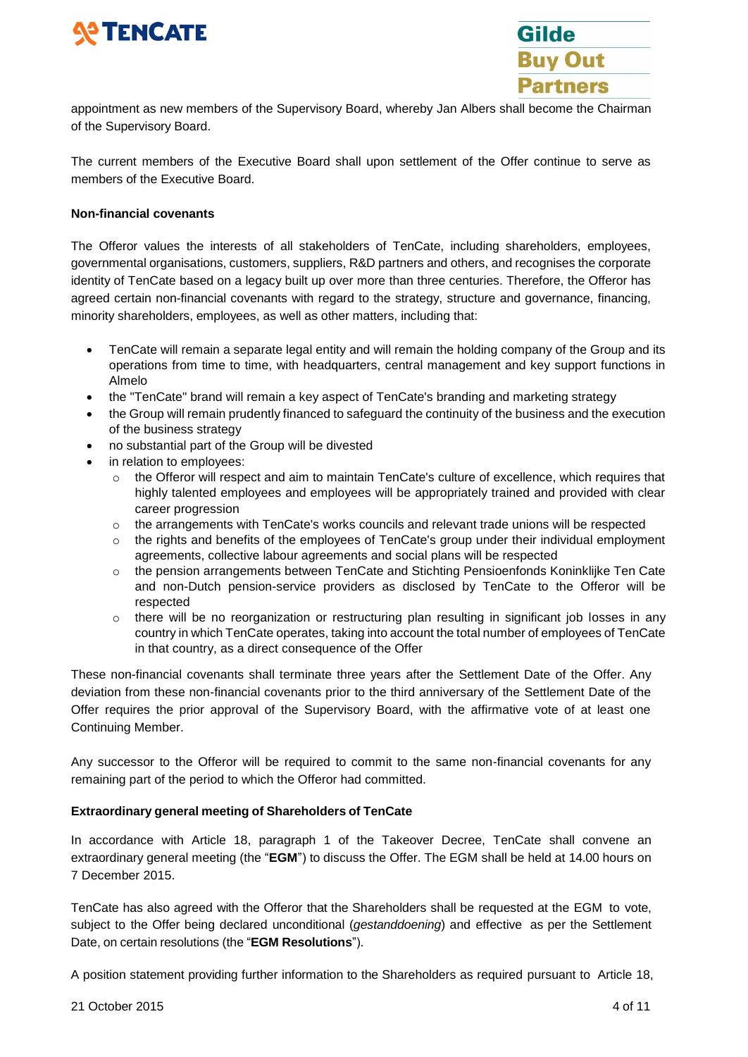



appointment as new members of the Supervisory Board, whereby Jan Albers shall become the Chairman of the Supervisory Board.

The current members of the Executive Board shall upon settlement of the Offer continue to serve as members of the Executive Board.

## **Non-financial covenants**

The Offeror values the interests of all stakeholders of TenCate, including shareholders, employees, governmental organisations, customers, suppliers, R&D partners and others, and recognises the corporate identity of TenCate based on a legacy built up over more than three centuries. Therefore, the Offeror has agreed certain non-financial covenants with regard to the strategy, structure and governance, financing, minority shareholders, employees, as well as other matters, including that:

- TenCate will remain a separate legal entity and will remain the holding company of the Group and its operations from time to time, with headquarters, central management and key support functions in Almelo
- the "TenCate" brand will remain a key aspect of TenCate's branding and marketing strategy
- the Group will remain prudently financed to safeguard the continuity of the business and the execution of the business strategy
- no substantial part of the Group will be divested
- in relation to employees:
	- $\circ$  the Offeror will respect and aim to maintain TenCate's culture of excellence, which requires that highly talented employees and employees will be appropriately trained and provided with clear career progression
	- $\circ$  the arrangements with TenCate's works councils and relevant trade unions will be respected
	- $\circ$  the rights and benefits of the employees of TenCate's group under their individual employment agreements, collective labour agreements and social plans will be respected
	- $\circ$  the pension arrangements between TenCate and Stichting Pensioenfonds Koninklijke Ten Cate and non-Dutch pension-service providers as disclosed by TenCate to the Offeror will be respected
	- o there will be no reorganization or restructuring plan resulting in significant job losses in any country in which TenCate operates, taking into account the total number of employees of TenCate in that country, as a direct consequence of the Offer

These non-financial covenants shall terminate three years after the Settlement Date of the Offer. Any deviation from these non-financial covenants prior to the third anniversary of the Settlement Date of the Offer requires the prior approval of the Supervisory Board, with the affirmative vote of at least one Continuing Member.

Any successor to the Offeror will be required to commit to the same non-financial covenants for any remaining part of the period to which the Offeror had committed.

# **Extraordinary general meeting of Shareholders of TenCate**

In accordance with Article 18, paragraph 1 of the Takeover Decree, TenCate shall convene an extraordinary general meeting (the "**EGM**") to discuss the Offer. The EGM shall be held at 14.00 hours on 7 December 2015.

TenCate has also agreed with the Offeror that the Shareholders shall be requested at the EGM to vote, subject to the Offer being declared unconditional (*gestanddoening*) and effective as per the Settlement Date, on certain resolutions (the "**EGM Resolutions**").

A position statement providing further information to the Shareholders as required pursuant to Article 18,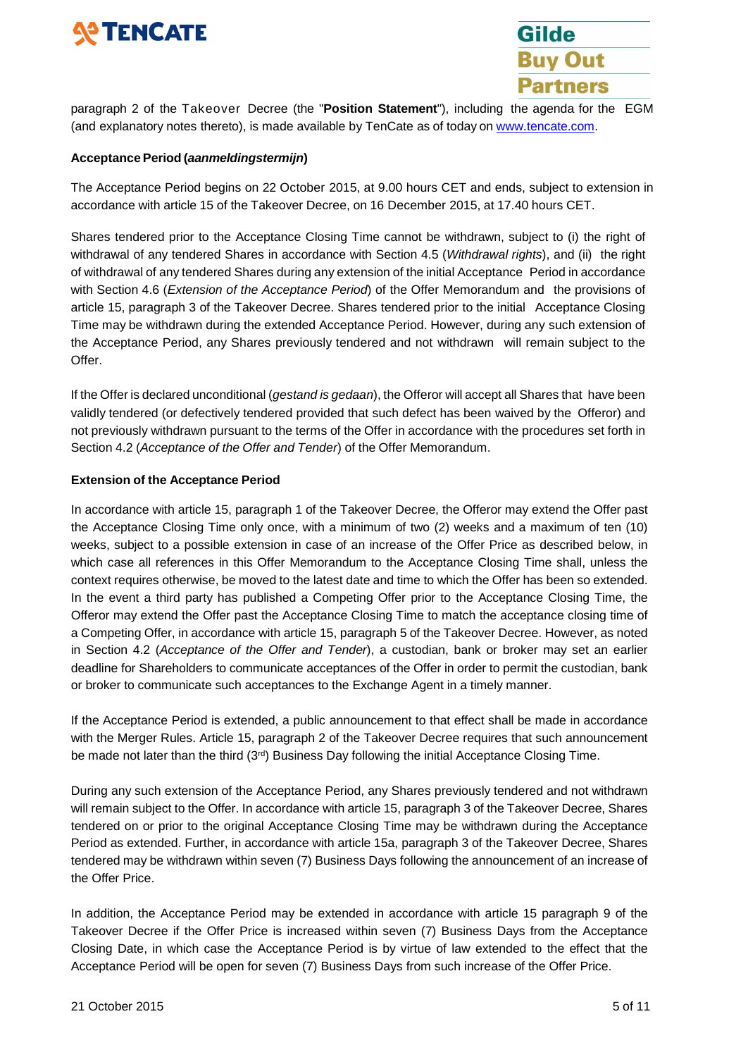# **SO TENCATE**



paragraph 2 of the Takeover Decree (the "**Position Statement**"), including the agenda for the EGM (and explanatory notes thereto), is made available by TenCate as of today on [www.tencate.com.](http://www.tencate.com/)

# **Acceptance Period (***aanmeldingstermijn***)**

The Acceptance Period begins on 22 October 2015, at 9.00 hours CET and ends, subject to extension in accordance with article 15 of the Takeover Decree, on 16 December 2015, at 17.40 hours CET.

Shares tendered prior to the Acceptance Closing Time cannot be withdrawn, subject to (i) the right of withdrawal of any tendered Shares in accordance with Section 4.5 (*Withdrawal rights*), and (ii) the right of withdrawal of any tendered Shares during any extension of the initial Acceptance Period in accordance with Section 4.6 (*Extension of the Acceptance Period*) of the Offer Memorandum and the provisions of article 15, paragraph 3 of the Takeover Decree. Shares tendered prior to the initial Acceptance Closing Time may be withdrawn during the extended Acceptance Period. However, during any such extension of the Acceptance Period, any Shares previously tendered and not withdrawn will remain subject to the Offer.

If the Offer is declared unconditional (*gestand is gedaan*), the Offeror will accept all Shares that have been validly tendered (or defectively tendered provided that such defect has been waived by the Offeror) and not previously withdrawn pursuant to the terms of the Offer in accordance with the procedures set forth in Section 4.2 (*Acceptance of the Offer and Tender*) of the Offer Memorandum.

# **Extension of the Acceptance Period**

In accordance with article 15, paragraph 1 of the Takeover Decree, the Offeror may extend the Offer past the Acceptance Closing Time only once, with a minimum of two (2) weeks and a maximum of ten (10) weeks, subject to a possible extension in case of an increase of the Offer Price as described below, in which case all references in this Offer Memorandum to the Acceptance Closing Time shall, unless the context requires otherwise, be moved to the latest date and time to which the Offer has been so extended. In the event a third party has published a Competing Offer prior to the Acceptance Closing Time, the Offeror may extend the Offer past the Acceptance Closing Time to match the acceptance closing time of a Competing Offer, in accordance with article 15, paragraph 5 of the Takeover Decree. However, as noted in Section 4.2 (*Acceptance of the Offer and Tender*), a custodian, bank or broker may set an earlier deadline for Shareholders to communicate acceptances of the Offer in order to permit the custodian, bank or broker to communicate such acceptances to the Exchange Agent in a timely manner.

If the Acceptance Period is extended, a public announcement to that effect shall be made in accordance with the Merger Rules. Article 15, paragraph 2 of the Takeover Decree requires that such announcement be made not later than the third  $(3<sup>rd</sup>)$  Business Day following the initial Acceptance Closing Time.

During any such extension of the Acceptance Period, any Shares previously tendered and not withdrawn will remain subject to the Offer. In accordance with article 15, paragraph 3 of the Takeover Decree, Shares tendered on or prior to the original Acceptance Closing Time may be withdrawn during the Acceptance Period as extended. Further, in accordance with article 15a, paragraph 3 of the Takeover Decree, Shares tendered may be withdrawn within seven (7) Business Days following the announcement of an increase of the Offer Price.

In addition, the Acceptance Period may be extended in accordance with article 15 paragraph 9 of the Takeover Decree if the Offer Price is increased within seven (7) Business Days from the Acceptance Closing Date, in which case the Acceptance Period is by virtue of law extended to the effect that the Acceptance Period will be open for seven (7) Business Days from such increase of the Offer Price.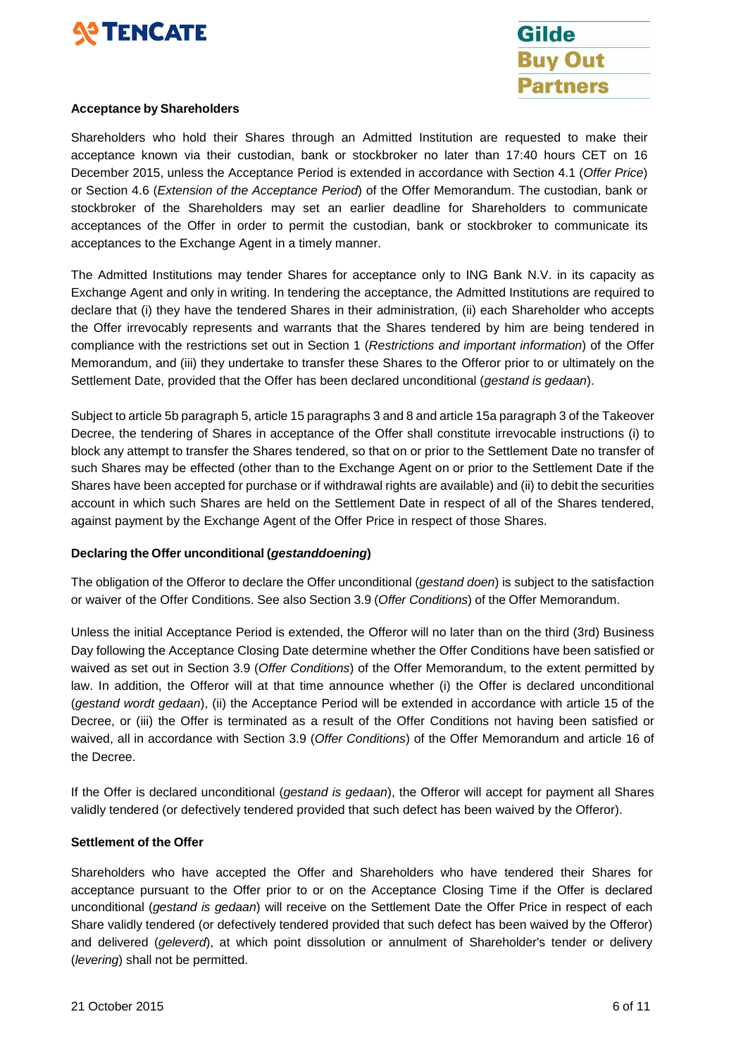



#### **Acceptance by Shareholders**

Shareholders who hold their Shares through an Admitted Institution are requested to make their acceptance known via their custodian, bank or stockbroker no later than 17:40 hours CET on 16 December 2015, unless the Acceptance Period is extended in accordance with Section 4.1 (*Offer Price*) or Section 4.6 (*Extension of the Acceptance Period*) of the Offer Memorandum. The custodian, bank or stockbroker of the Shareholders may set an earlier deadline for Shareholders to communicate acceptances of the Offer in order to permit the custodian, bank or stockbroker to communicate its acceptances to the Exchange Agent in a timely manner.

The Admitted Institutions may tender Shares for acceptance only to ING Bank N.V. in its capacity as Exchange Agent and only in writing. In tendering the acceptance, the Admitted Institutions are required to declare that (i) they have the tendered Shares in their administration, (ii) each Shareholder who accepts the Offer irrevocably represents and warrants that the Shares tendered by him are being tendered in compliance with the restrictions set out in Section 1 (*Restrictions and important information*) of the Offer Memorandum, and (iii) they undertake to transfer these Shares to the Offeror prior to or ultimately on the Settlement Date, provided that the Offer has been declared unconditional (*gestand is gedaan*).

Subject to article 5b paragraph 5, article 15 paragraphs 3 and 8 and article 15a paragraph 3 of the Takeover Decree, the tendering of Shares in acceptance of the Offer shall constitute irrevocable instructions (i) to block any attempt to transfer the Shares tendered, so that on or prior to the Settlement Date no transfer of such Shares may be effected (other than to the Exchange Agent on or prior to the Settlement Date if the Shares have been accepted for purchase or if withdrawal rights are available) and (ii) to debit the securities account in which such Shares are held on the Settlement Date in respect of all of the Shares tendered, against payment by the Exchange Agent of the Offer Price in respect of those Shares.

# **Declaring the Offer unconditional (***gestanddoening***)**

The obligation of the Offeror to declare the Offer unconditional (*gestand doen*) is subject to the satisfaction or waiver of the Offer Conditions. See also Section 3.9 (*Offer Conditions*) of the Offer Memorandum.

Unless the initial Acceptance Period is extended, the Offeror will no later than on the third (3rd) Business Day following the Acceptance Closing Date determine whether the Offer Conditions have been satisfied or waived as set out in Section 3.9 (*Offer Conditions*) of the Offer Memorandum, to the extent permitted by law. In addition, the Offeror will at that time announce whether (i) the Offer is declared unconditional (*gestand wordt gedaan*), (ii) the Acceptance Period will be extended in accordance with article 15 of the Decree, or (iii) the Offer is terminated as a result of the Offer Conditions not having been satisfied or waived, all in accordance with Section 3.9 (*Offer Conditions*) of the Offer Memorandum and article 16 of the Decree.

If the Offer is declared unconditional (*gestand is gedaan*), the Offeror will accept for payment all Shares validly tendered (or defectively tendered provided that such defect has been waived by the Offeror).

#### **Settlement of the Offer**

Shareholders who have accepted the Offer and Shareholders who have tendered their Shares for acceptance pursuant to the Offer prior to or on the Acceptance Closing Time if the Offer is declared unconditional (*gestand is gedaan*) will receive on the Settlement Date the Offer Price in respect of each Share validly tendered (or defectively tendered provided that such defect has been waived by the Offeror) and delivered (*geleverd*), at which point dissolution or annulment of Shareholder's tender or delivery (*levering*) shall not be permitted.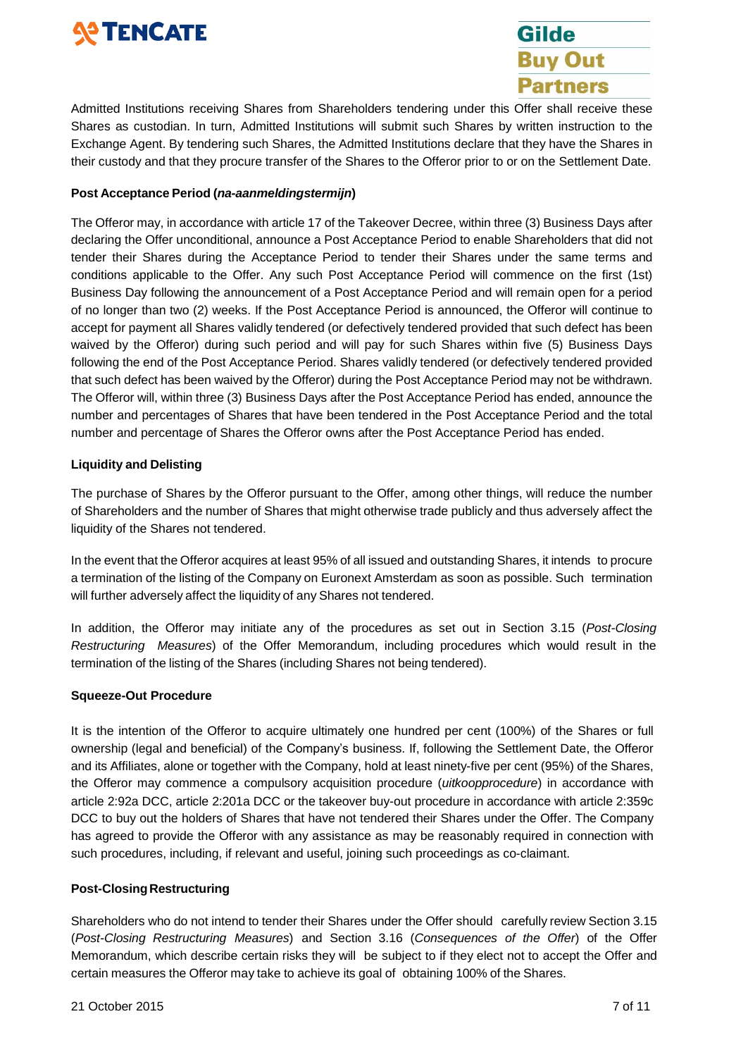# **SO TENCATE**



Admitted Institutions receiving Shares from Shareholders tendering under this Offer shall receive these Shares as custodian. In turn, Admitted Institutions will submit such Shares by written instruction to the Exchange Agent. By tendering such Shares, the Admitted Institutions declare that they have the Shares in their custody and that they procure transfer of the Shares to the Offeror prior to or on the Settlement Date.

# **Post Acceptance Period (***na-aanmeldingstermijn***)**

The Offeror may, in accordance with article 17 of the Takeover Decree, within three (3) Business Days after declaring the Offer unconditional, announce a Post Acceptance Period to enable Shareholders that did not tender their Shares during the Acceptance Period to tender their Shares under the same terms and conditions applicable to the Offer. Any such Post Acceptance Period will commence on the first (1st) Business Day following the announcement of a Post Acceptance Period and will remain open for a period of no longer than two (2) weeks. If the Post Acceptance Period is announced, the Offeror will continue to accept for payment all Shares validly tendered (or defectively tendered provided that such defect has been waived by the Offeror) during such period and will pay for such Shares within five (5) Business Days following the end of the Post Acceptance Period. Shares validly tendered (or defectively tendered provided that such defect has been waived by the Offeror) during the Post Acceptance Period may not be withdrawn. The Offeror will, within three (3) Business Days after the Post Acceptance Period has ended, announce the number and percentages of Shares that have been tendered in the Post Acceptance Period and the total number and percentage of Shares the Offeror owns after the Post Acceptance Period has ended.

# **Liquidity and Delisting**

The purchase of Shares by the Offeror pursuant to the Offer, among other things, will reduce the number of Shareholders and the number of Shares that might otherwise trade publicly and thus adversely affect the liquidity of the Shares not tendered.

In the event that the Offeror acquires at least 95% of all issued and outstanding Shares, it intends to procure a termination of the listing of the Company on Euronext Amsterdam as soon as possible. Such termination will further adversely affect the liquidity of any Shares not tendered.

In addition, the Offeror may initiate any of the procedures as set out in Section 3.15 (*Post-Closing Restructuring Measures*) of the Offer Memorandum, including procedures which would result in the termination of the listing of the Shares (including Shares not being tendered).

# **Squeeze-Out Procedure**

It is the intention of the Offeror to acquire ultimately one hundred per cent (100%) of the Shares or full ownership (legal and beneficial) of the Company's business. If, following the Settlement Date, the Offeror and its Affiliates, alone or together with the Company, hold at least ninety-five per cent (95%) of the Shares, the Offeror may commence a compulsory acquisition procedure (*uitkoopprocedure*) in accordance with article 2:92a DCC, article 2:201a DCC or the takeover buy-out procedure in accordance with article 2:359c DCC to buy out the holders of Shares that have not tendered their Shares under the Offer. The Company has agreed to provide the Offeror with any assistance as may be reasonably required in connection with such procedures, including, if relevant and useful, joining such proceedings as co-claimant.

# **Post-Closing Restructuring**

Shareholders who do not intend to tender their Shares under the Offer should carefully review Section 3.15 (*Post-Closing Restructuring Measures*) and Section 3.16 (*Consequences of the Offer*) of the Offer Memorandum, which describe certain risks they will be subject to if they elect not to accept the Offer and certain measures the Offeror may take to achieve its goal of obtaining 100% of the Shares.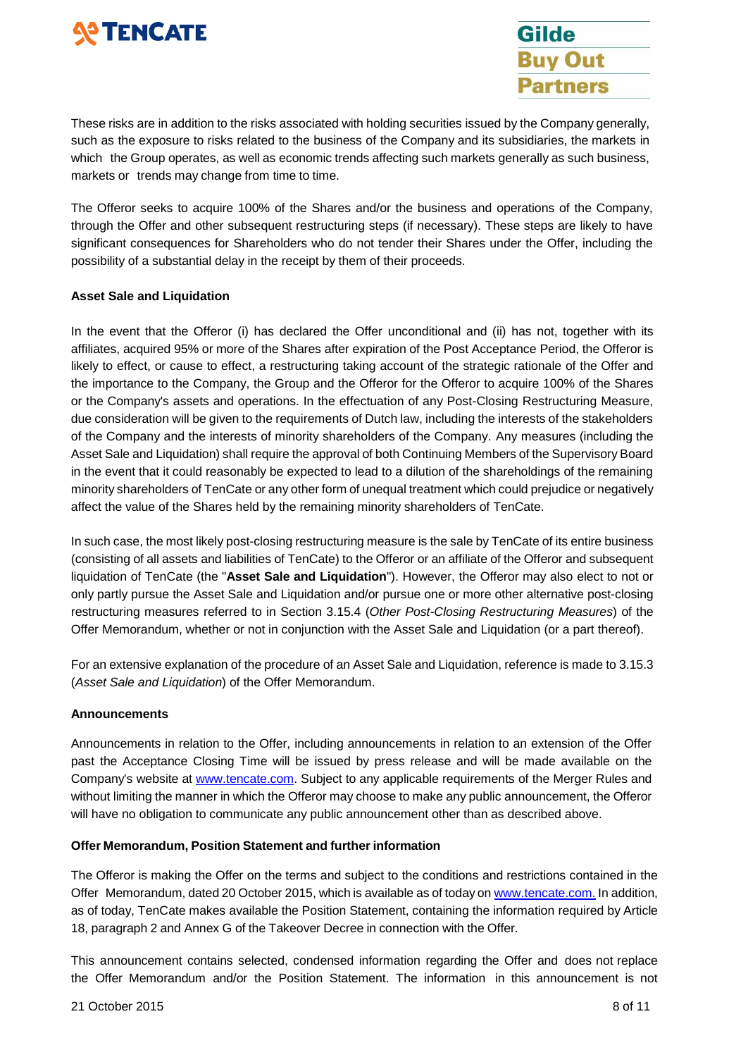

**Gilde Buy Out Partners** 

These risks are in addition to the risks associated with holding securities issued by the Company generally, such as the exposure to risks related to the business of the Company and its subsidiaries, the markets in which the Group operates, as well as economic trends affecting such markets generally as such business, markets or trends may change from time to time.

The Offeror seeks to acquire 100% of the Shares and/or the business and operations of the Company, through the Offer and other subsequent restructuring steps (if necessary). These steps are likely to have significant consequences for Shareholders who do not tender their Shares under the Offer, including the possibility of a substantial delay in the receipt by them of their proceeds.

## **Asset Sale and Liquidation**

In the event that the Offeror (i) has declared the Offer unconditional and (ii) has not, together with its affiliates, acquired 95% or more of the Shares after expiration of the Post Acceptance Period, the Offeror is likely to effect, or cause to effect, a restructuring taking account of the strategic rationale of the Offer and the importance to the Company, the Group and the Offeror for the Offeror to acquire 100% of the Shares or the Company's assets and operations. In the effectuation of any Post-Closing Restructuring Measure, due consideration will be given to the requirements of Dutch law, including the interests of the stakeholders of the Company and the interests of minority shareholders of the Company. Any measures (including the Asset Sale and Liquidation) shall require the approval of both Continuing Members of the Supervisory Board in the event that it could reasonably be expected to lead to a dilution of the shareholdings of the remaining minority shareholders of TenCate or any other form of unequal treatment which could prejudice or negatively affect the value of the Shares held by the remaining minority shareholders of TenCate.

In such case, the most likely post-closing restructuring measure is the sale by TenCate of its entire business (consisting of all assets and liabilities of TenCate) to the Offeror or an affiliate of the Offeror and subsequent liquidation of TenCate (the "**Asset Sale and Liquidation**"). However, the Offeror may also elect to not or only partly pursue the Asset Sale and Liquidation and/or pursue one or more other alternative post-closing restructuring measures referred to in Section 3.15.4 (*Other Post-Closing Restructuring Measures*) of the Offer Memorandum, whether or not in conjunction with the Asset Sale and Liquidation (or a part thereof).

For an extensive explanation of the procedure of an Asset Sale and Liquidation, reference is made to 3.15.3 (*Asset Sale and Liquidation*) of the Offer Memorandum.

#### **Announcements**

Announcements in relation to the Offer, including announcements in relation to an extension of the Offer past the Acceptance Closing Time will be issued by press release and will be made available on the Company's website at [www.tencate.com.](http://www.tencate.com/) Subject to any applicable requirements of the Merger Rules and without limiting the manner in which the Offeror may choose to make any public announcement, the Offeror will have no obligation to communicate any public announcement other than as described above.

#### **Offer Memorandum, Position Statement and further information**

The Offeror is making the Offer on the terms and subject to the conditions and restrictions contained in the Offer Memorandum, dated 20 October 2015, which is available as of today on [www.tencate.com.](http://www.tencate.com./) In addition, as of today, TenCate makes available the Position Statement, containing the information required by Article 18, paragraph 2 and Annex G of the Takeover Decree in connection with the Offer.

This announcement contains selected, condensed information regarding the Offer and does not replace the Offer Memorandum and/or the Position Statement. The information in this announcement is not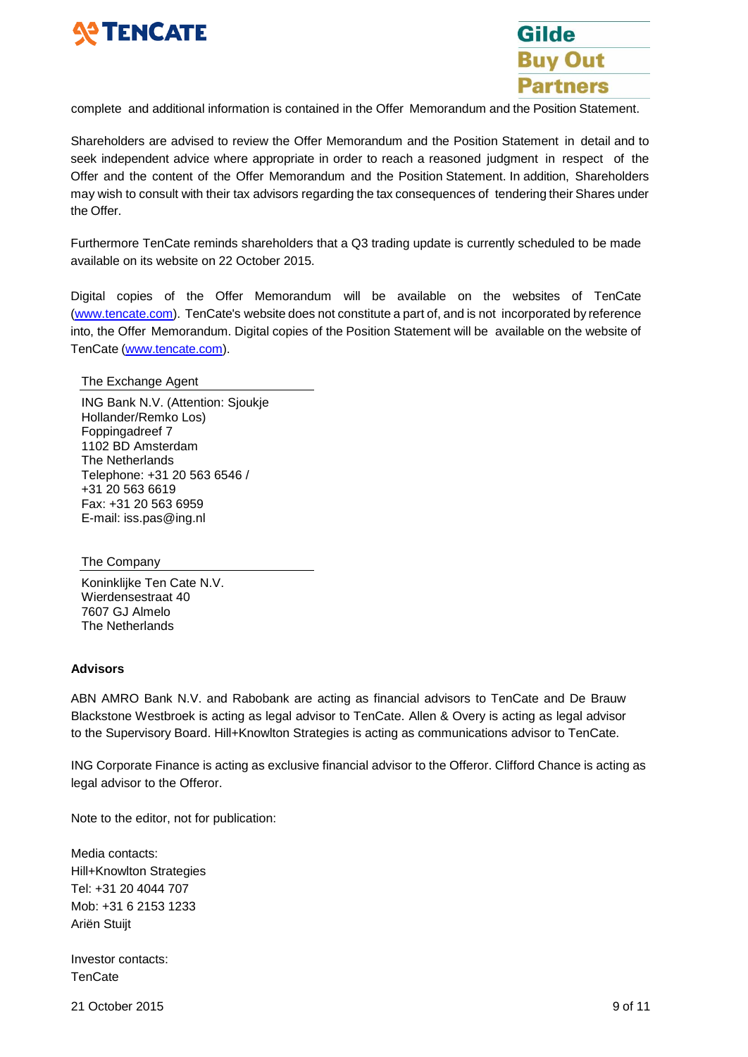



complete and additional information is contained in the Offer Memorandum and the Position Statement.

Shareholders are advised to review the Offer Memorandum and the Position Statement in detail and to seek independent advice where appropriate in order to reach a reasoned judgment in respect of the Offer and the content of the Offer Memorandum and the Position Statement. In addition, Shareholders may wish to consult with their tax advisors regarding the tax consequences of tendering their Shares under the Offer.

Furthermore TenCate reminds shareholders that a Q3 trading update is currently scheduled to be made available on its website on 22 October 2015.

Digital copies of the Offer Memorandum will be available on the websites of TenCate [\(www.tencate.com\)](http://www.tencate.com/). TenCate's website does not constitute a part of, and is not incorporated by reference into, the Offer Memorandum. Digital copies of the Position Statement will be available on the website of TenCate [\(www.tencate.com\)](http://www.tencate.com/).

The Exchange Agent

ING Bank N.V. (Attention: Sjoukje Hollander/Remko Los) Foppingadreef 7 1102 BD Amsterdam The Netherlands Telephone: +31 20 563 6546 / +31 20 563 6619 Fax: +31 20 563 6959 E-mail: [iss.pas@ing.nl](mailto:iss.pas@ing.nl)

The Company

Koninklijke Ten Cate N.V. Wierdensestraat 40 7607 GJ Almelo The Netherlands

#### **Advisors**

ABN AMRO Bank N.V. and Rabobank are acting as financial advisors to TenCate and De Brauw Blackstone Westbroek is acting as legal advisor to TenCate. Allen & Overy is acting as legal advisor to the Supervisory Board. Hill+Knowlton Strategies is acting as communications advisor to TenCate.

ING Corporate Finance is acting as exclusive financial advisor to the Offeror. Clifford Chance is acting as legal advisor to the Offeror.

Note to the editor, not for publication:

Media contacts: Hill+Knowlton Strategies Tel: +31 20 4044 707 Mob: +31 6 2153 1233 Ariën Stuijt

Investor contacts: **TenCate** 

21 October 2015 9 of 11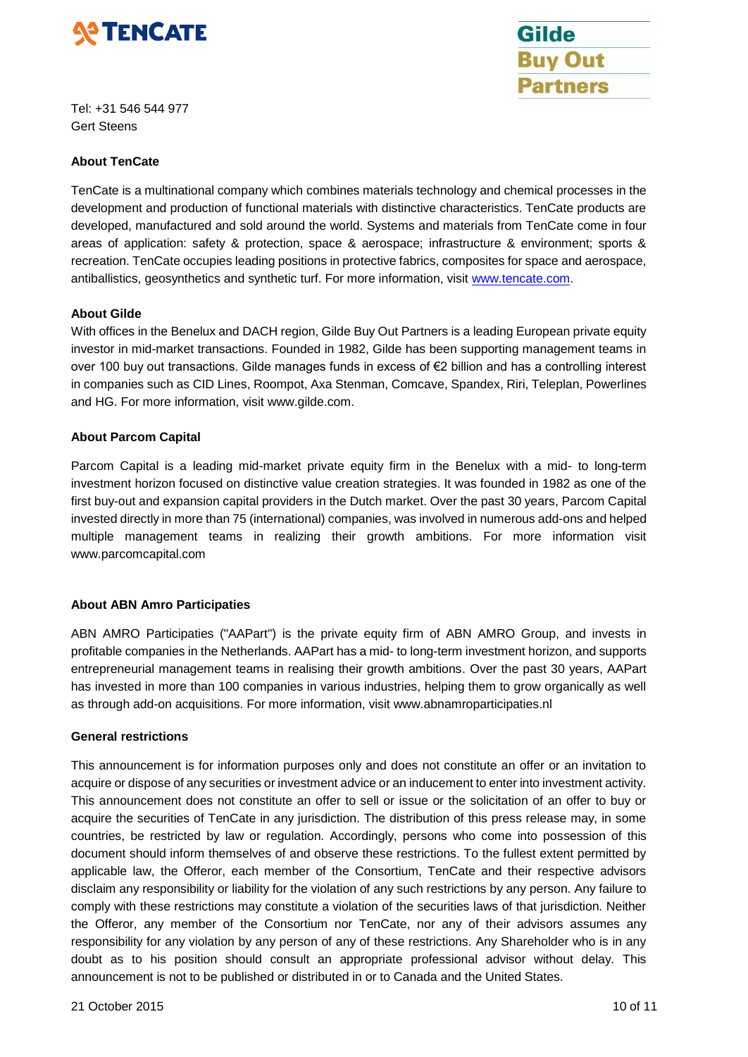



Tel: +31 546 544 977 Gert Steens

# **About TenCate**

TenCate is a multinational company which combines materials technology and chemical processes in the development and production of functional materials with distinctive characteristics. TenCate products are developed, manufactured and sold around the world. Systems and materials from TenCate come in four areas of application: safety & protection, space & aerospace; infrastructure & environment; sports & recreation. TenCate occupies leading positions in protective fabrics, composites for space and aerospace, antiballistics, geosynthetics and synthetic turf. For more information, visit [www.tencate.com.](http://www.tencate.com/)

## **About Gilde**

With offices in the Benelux and DACH region, Gilde Buy Out Partners is a leading European private equity investor in mid-market transactions. Founded in 1982, Gilde has been supporting management teams in over 100 buy out transactions. Gilde manages funds in excess of €2 billion and has a controlling interest in companies such as CID Lines, Roompot, Axa Stenman, Comcave, Spandex, Riri, Teleplan, Powerlines and HG. For more information, visit [www.gilde.com.](http://www.gilde.com/)

## **About Parcom Capital**

Parcom Capital is a leading mid-market private equity firm in the Benelux with a mid- to long-term investment horizon focused on distinctive value creation strategies. It was founded in 1982 as one of the first buy-out and expansion capital providers in the Dutch market. Over the past 30 years, Parcom Capital invested directly in more than 75 (international) companies, was involved in numerous add-ons and helped multiple management teams in realizing their growth ambitions. For more information visit [www.parcomcapital.com](http://www.parcomcapital.com/)

# **About ABN Amro Participaties**

ABN AMRO Participaties ("AAPart") is the private equity firm of ABN AMRO Group, and invests in profitable companies in the Netherlands. AAPart has a mid- to long-term investment horizon, and supports entrepreneurial management teams in realising their growth ambitions. Over the past 30 years, AAPart has invested in more than 100 companies in various industries, helping them to grow organically as well as through add-on acquisitions. For more information, visit [www.abnamroparticipaties.nl](http://www.abnamroparticipaties.nl/)

#### **General restrictions**

This announcement is for information purposes only and does not constitute an offer or an invitation to acquire or dispose of any securities or investment advice or an inducement to enter into investment activity. This announcement does not constitute an offer to sell or issue or the solicitation of an offer to buy or acquire the securities of TenCate in any jurisdiction. The distribution of this press release may, in some countries, be restricted by law or regulation. Accordingly, persons who come into possession of this document should inform themselves of and observe these restrictions. To the fullest extent permitted by applicable law, the Offeror, each member of the Consortium, TenCate and their respective advisors disclaim any responsibility or liability for the violation of any such restrictions by any person. Any failure to comply with these restrictions may constitute a violation of the securities laws of that jurisdiction. Neither the Offeror, any member of the Consortium nor TenCate, nor any of their advisors assumes any responsibility for any violation by any person of any of these restrictions. Any Shareholder who is in any doubt as to his position should consult an appropriate professional advisor without delay. This announcement is not to be published or distributed in or to Canada and the United States.